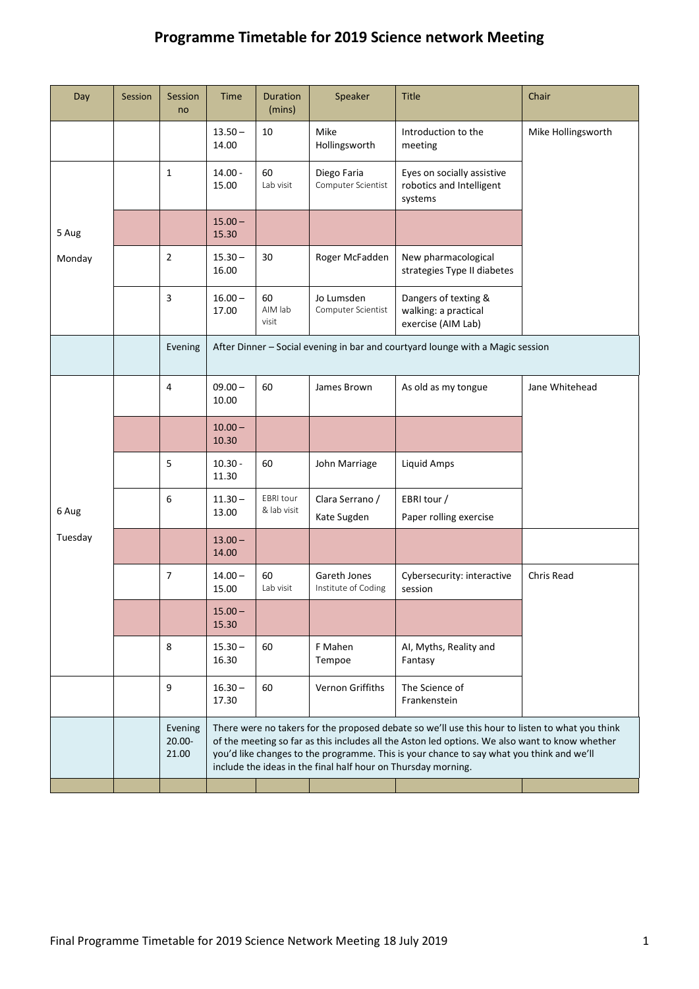## **Programme Timetable for 2019 Science network Meeting**

| Day              | Session | Session<br>no                 | <b>Time</b>                                                                                                                                                                                                                                                                                                                                                    | <b>Duration</b><br>(mins)       | Speaker                             | <b>Title</b>                                                       | Chair              |  |
|------------------|---------|-------------------------------|----------------------------------------------------------------------------------------------------------------------------------------------------------------------------------------------------------------------------------------------------------------------------------------------------------------------------------------------------------------|---------------------------------|-------------------------------------|--------------------------------------------------------------------|--------------------|--|
|                  |         |                               | $13.50 -$<br>14.00                                                                                                                                                                                                                                                                                                                                             | 10                              | Mike<br>Hollingsworth               | Introduction to the<br>meeting                                     | Mike Hollingsworth |  |
| 5 Aug<br>Monday  |         | $\mathbf{1}$                  | $14.00 -$<br>15.00                                                                                                                                                                                                                                                                                                                                             | 60<br>Lab visit                 | Diego Faria<br>Computer Scientist   | Eyes on socially assistive<br>robotics and Intelligent<br>systems  |                    |  |
|                  |         |                               | $15.00 -$<br>15.30                                                                                                                                                                                                                                                                                                                                             |                                 |                                     |                                                                    |                    |  |
|                  |         | $\overline{2}$                | $15.30 -$<br>16.00                                                                                                                                                                                                                                                                                                                                             | 30                              | Roger McFadden                      | New pharmacological<br>strategies Type II diabetes                 |                    |  |
|                  |         | 3                             | $16.00 -$<br>17.00                                                                                                                                                                                                                                                                                                                                             | 60<br>AIM lab<br>visit          | Jo Lumsden<br>Computer Scientist    | Dangers of texting &<br>walking: a practical<br>exercise (AIM Lab) |                    |  |
|                  |         | Evening                       | After Dinner - Social evening in bar and courtyard lounge with a Magic session                                                                                                                                                                                                                                                                                 |                                 |                                     |                                                                    |                    |  |
| 6 Aug<br>Tuesday |         | 4                             | $09.00 -$<br>10.00                                                                                                                                                                                                                                                                                                                                             | 60                              | James Brown                         | As old as my tongue                                                | Jane Whitehead     |  |
|                  |         |                               | $10.00 -$<br>10.30                                                                                                                                                                                                                                                                                                                                             |                                 |                                     |                                                                    |                    |  |
|                  |         | 5                             | $10.30 -$<br>11.30                                                                                                                                                                                                                                                                                                                                             | 60                              | John Marriage                       | Liquid Amps                                                        |                    |  |
|                  |         | 6                             | $11.30 -$<br>13.00                                                                                                                                                                                                                                                                                                                                             | <b>EBRI</b> tour<br>& lab visit | Clara Serrano /<br>Kate Sugden      | EBRI tour /<br>Paper rolling exercise                              |                    |  |
|                  |         |                               | $13.00 -$<br>14.00                                                                                                                                                                                                                                                                                                                                             |                                 |                                     |                                                                    |                    |  |
|                  |         | 7                             | $14.00 -$<br>15.00                                                                                                                                                                                                                                                                                                                                             | 60<br>Lab visit                 | Gareth Jones<br>Institute of Coding | Cybersecurity: interactive<br>session                              | Chris Read         |  |
|                  |         |                               | $15.00 -$<br>15.30                                                                                                                                                                                                                                                                                                                                             |                                 |                                     |                                                                    |                    |  |
|                  |         | 8                             | $15.30 -$<br>16.30                                                                                                                                                                                                                                                                                                                                             | 60                              | F Mahen<br>Tempoe                   | AI, Myths, Reality and<br>Fantasy                                  |                    |  |
|                  |         | 9                             | $16.30 -$<br>17.30                                                                                                                                                                                                                                                                                                                                             | 60                              | Vernon Griffiths                    | The Science of<br>Frankenstein                                     |                    |  |
|                  |         | Evening<br>$20.00 -$<br>21.00 | There were no takers for the proposed debate so we'll use this hour to listen to what you think<br>of the meeting so far as this includes all the Aston led options. We also want to know whether<br>you'd like changes to the programme. This is your chance to say what you think and we'll<br>include the ideas in the final half hour on Thursday morning. |                                 |                                     |                                                                    |                    |  |
|                  |         |                               |                                                                                                                                                                                                                                                                                                                                                                |                                 |                                     |                                                                    |                    |  |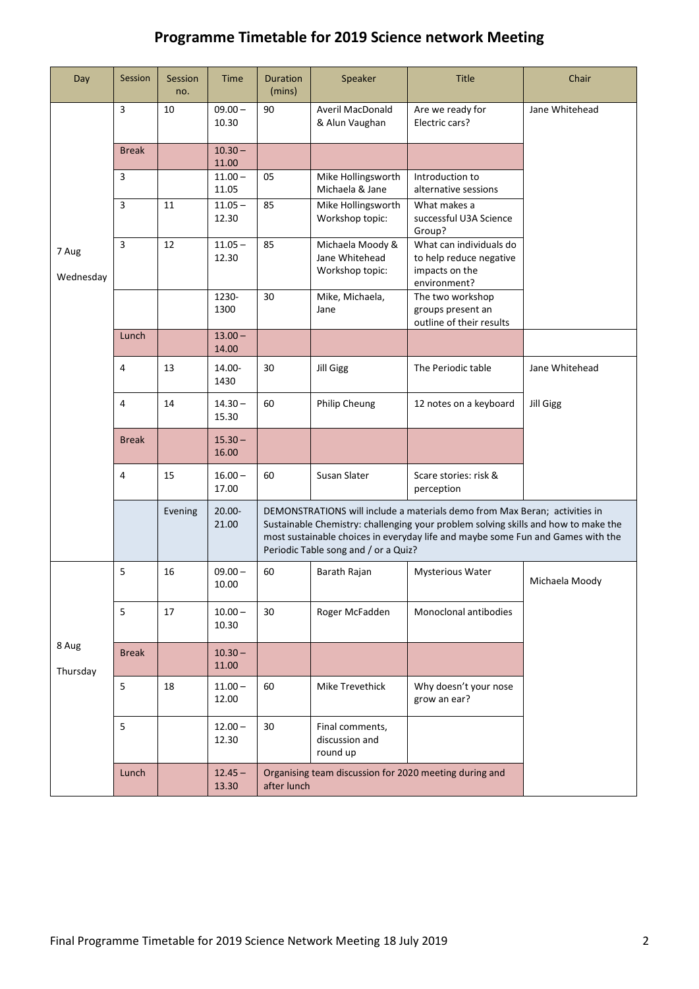## **Programme Timetable for 2019 Science network Meeting**

| Day                | Session      | Session<br>no. | Time               | Duration<br>(mins)                                                    | Speaker                                                                                                                                                                                                                                             | <b>Title</b>                                                                         | Chair            |
|--------------------|--------------|----------------|--------------------|-----------------------------------------------------------------------|-----------------------------------------------------------------------------------------------------------------------------------------------------------------------------------------------------------------------------------------------------|--------------------------------------------------------------------------------------|------------------|
| 7 Aug<br>Wednesday | 3            | 10             | $09.00 -$<br>10.30 | 90                                                                    | <b>Averil MacDonald</b><br>& Alun Vaughan                                                                                                                                                                                                           | Are we ready for<br>Electric cars?                                                   | Jane Whitehead   |
|                    | <b>Break</b> |                | $10.30 -$<br>11.00 |                                                                       |                                                                                                                                                                                                                                                     |                                                                                      |                  |
|                    | 3            |                | $11.00 -$<br>11.05 | 05                                                                    | Mike Hollingsworth<br>Michaela & Jane                                                                                                                                                                                                               | Introduction to<br>alternative sessions                                              |                  |
|                    | 3            | 11             | $11.05 -$<br>12.30 | 85                                                                    | Mike Hollingsworth<br>Workshop topic:                                                                                                                                                                                                               | What makes a<br>successful U3A Science<br>Group?                                     |                  |
|                    | 3            | 12             | $11.05 -$<br>12.30 | 85                                                                    | Michaela Moody &<br>Jane Whitehead<br>Workshop topic:                                                                                                                                                                                               | What can individuals do<br>to help reduce negative<br>impacts on the<br>environment? |                  |
|                    |              |                | 1230-<br>1300      | 30                                                                    | Mike, Michaela,<br>Jane                                                                                                                                                                                                                             | The two workshop<br>groups present an<br>outline of their results                    |                  |
|                    | Lunch        |                | $13.00 -$<br>14.00 |                                                                       |                                                                                                                                                                                                                                                     |                                                                                      |                  |
|                    | 4            | 13             | 14.00-<br>1430     | 30                                                                    | Jill Gigg                                                                                                                                                                                                                                           | The Periodic table                                                                   | Jane Whitehead   |
|                    | 4            | 14             | $14.30 -$<br>15.30 | 60                                                                    | Philip Cheung                                                                                                                                                                                                                                       | 12 notes on a keyboard                                                               | <b>Jill Gigg</b> |
|                    | <b>Break</b> |                | $15.30 -$<br>16.00 |                                                                       |                                                                                                                                                                                                                                                     |                                                                                      |                  |
|                    | 4            | 15             | $16.00 -$<br>17.00 | 60                                                                    | Susan Slater                                                                                                                                                                                                                                        | Scare stories: risk &<br>perception                                                  |                  |
|                    |              | Evening        | $20.00 -$<br>21.00 | Periodic Table song and / or a Quiz?                                  | DEMONSTRATIONS will include a materials demo from Max Beran; activities in<br>Sustainable Chemistry: challenging your problem solving skills and how to make the<br>most sustainable choices in everyday life and maybe some Fun and Games with the |                                                                                      |                  |
| 8 Aug<br>Thursday  | 5            | 16             | $09.00 -$<br>10.00 | 60                                                                    | Barath Rajan                                                                                                                                                                                                                                        | <b>Mysterious Water</b>                                                              | Michaela Moody   |
|                    | 5            | 17             | $10.00 -$<br>10.30 | 30                                                                    | Roger McFadden                                                                                                                                                                                                                                      | Monoclonal antibodies                                                                |                  |
|                    | <b>Break</b> |                | $10.30 -$<br>11.00 |                                                                       |                                                                                                                                                                                                                                                     |                                                                                      |                  |
|                    | 5            | 18             | $11.00 -$<br>12.00 | 60                                                                    | Mike Trevethick                                                                                                                                                                                                                                     | Why doesn't your nose<br>grow an ear?                                                |                  |
|                    | 5            |                | $12.00 -$<br>12.30 | 30                                                                    | Final comments,<br>discussion and<br>round up                                                                                                                                                                                                       |                                                                                      |                  |
|                    | Lunch        |                | $12.45 -$<br>13.30 | Organising team discussion for 2020 meeting during and<br>after lunch |                                                                                                                                                                                                                                                     |                                                                                      |                  |